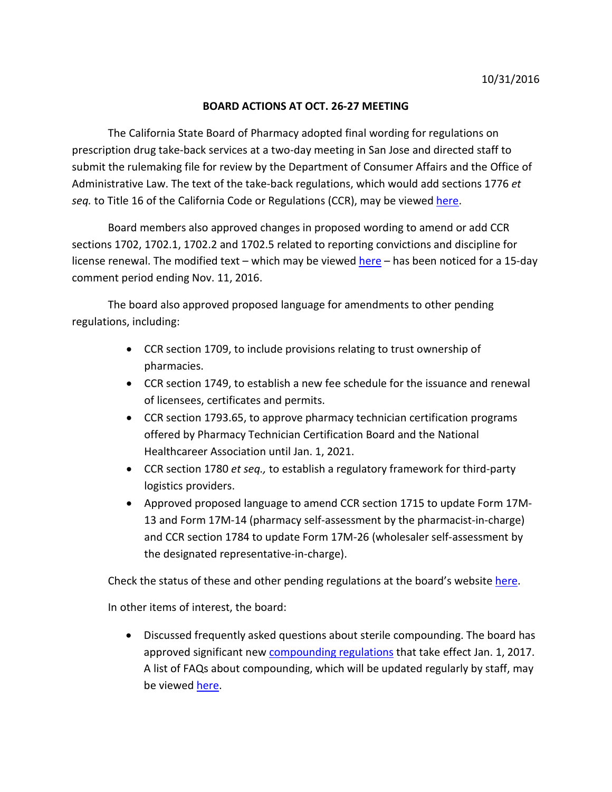## **BOARD ACTIONS AT OCT. 26-27 MEETING**

The California State Board of Pharmacy adopted final wording for regulations on prescription drug take-back services at a two-day meeting in San Jose and directed staff to submit the rulemaking file for review by the Department of Consumer Affairs and the Office of Administrative Law. The text of the take-back regulations, which would add sections 1776 *et seq.* to Title 16 of the California Code or Regulations (CCR), may be viewed [here.](http://www.pharmacy.ca.gov/laws_regs/1776_mt3.pdf)

Board members also approved changes in proposed wording to amend or add CCR sections 1702, 1702.1, 1702.2 and 1702.5 related to reporting convictions and discipline for license renewal. The modified text – which may be viewed [here](http://www.pharmacy.ca.gov/laws_regs/1702_mt.pdf) – has been noticed for a 15-day comment period ending Nov. 11, 2016.

The board also approved proposed language for amendments to other pending regulations, including:

- CCR section 1709, to include provisions relating to trust ownership of pharmacies.
- CCR section 1749, to establish a new fee schedule for the issuance and renewal of licensees, certificates and permits.
- CCR section 1793.65, to approve pharmacy technician certification programs offered by Pharmacy Technician Certification Board and the National Healthcareer Association until Jan. 1, 2021.
- CCR section 1780 *et seq.,* to establish a regulatory framework for third-party logistics providers.
- Approved proposed language to amend CCR section 1715 to update Form 17M-13 and Form 17M-14 (pharmacy self-assessment by the pharmacist-in-charge) and CCR section 1784 to update Form 17M-26 (wholesaler self-assessment by the designated representative-in-charge).

Check the status of these and other pending regulations at the board's website [here.](http://www.pharmacy.ca.gov/laws_regs/pending_regs.shtml)

In other items of interest, the board:

• Discussed frequently asked questions about sterile compounding. The board has approved significant new [compounding regulations](http://www.pharmacy.ca.gov/laws_regs/1735_ooa_aprvd.pdf) that take effect Jan. 1, 2017. A list of FAQs about compounding, which will be updated regularly by staff, may be viewe[d here.](http://www.pharmacy.ca.gov/meetings/agendas/2016/16_oct_bd_mat_1735_1751.pdf)